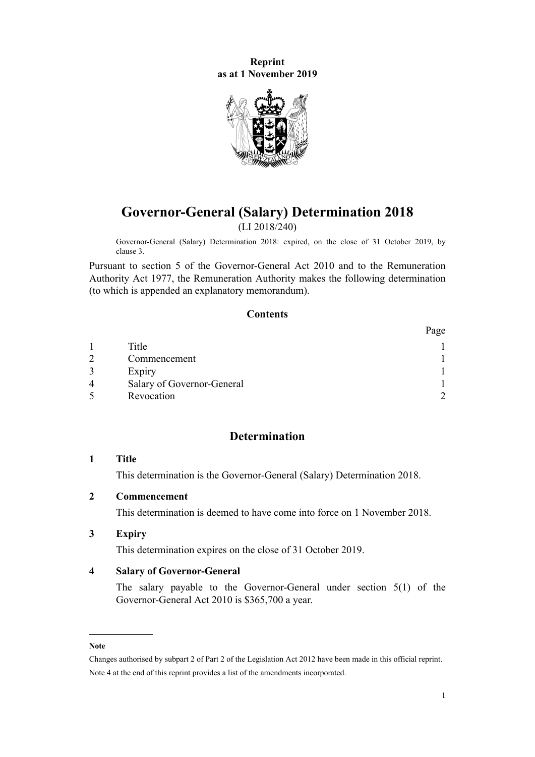<span id="page-0-0"></span>**Reprint as at 1 November 2019**



# **Governor-General (Salary) Determination 2018** (LI 2018/240)

Governor-General (Salary) Determination 2018: expired, on the close of 31 October 2019, by clause 3.

Pursuant to [section 5](http://legislation.govt.nz/pdflink.aspx?id=DLM2999122) of the [Governor-General Act 2010](http://legislation.govt.nz/pdflink.aspx?id=DLM2999100) and to the [Remuneration](http://legislation.govt.nz/pdflink.aspx?id=DLM15636) [Authority Act 1977](http://legislation.govt.nz/pdflink.aspx?id=DLM15636), the Remuneration Authority makes the following determination (to which is appended an explanatory memorandum).

# **Contents**

|   |                            | Page |
|---|----------------------------|------|
|   | Title                      |      |
|   | Commencement               |      |
|   | Expiry                     |      |
| 4 | Salary of Governor-General |      |
|   | Revocation                 |      |

# **Determination**

### **1 Title**

This determination is the Governor-General (Salary) Determination 2018.

## **2 Commencement**

This determination is deemed to have come into force on 1 November 2018.

#### **3 Expiry**

This determination expires on the close of 31 October 2019.

### **4 Salary of Governor-General**

The salary payable to the Governor-General under [section 5\(1\)](http://legislation.govt.nz/pdflink.aspx?id=DLM2999122) of the Governor-General Act 2010 is \$365,700 a year.

#### **Note**

Changes authorised by [subpart 2](http://legislation.govt.nz/pdflink.aspx?id=DLM2998524) of Part 2 of the Legislation Act 2012 have been made in this official reprint. Note 4 at the end of this reprint provides a list of the amendments incorporated.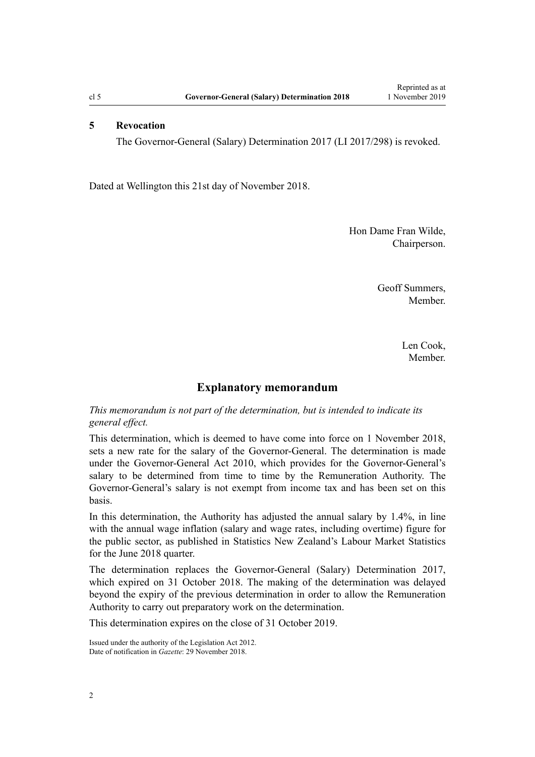#### <span id="page-1-0"></span>**5 Revocation**

The [Governor-General \(Salary\) Determination 2017](http://legislation.govt.nz/pdflink.aspx?id=DLM7514100) (LI 2017/298) is revoked.

Dated at Wellington this 21st day of November 2018.

Hon Dame Fran Wilde, Chairperson.

> Geoff Summers, Member.

> > Len Cook, Member.

### **Explanatory memorandum**

### *This memorandum is not part of the determination, but is intended to indicate its general effect.*

This determination, which is deemed to have come into force on 1 November 2018, sets a new rate for the salary of the Governor-General. The determination is made under the [Governor-General Act 2010](http://legislation.govt.nz/pdflink.aspx?id=DLM2999100), which provides for the Governor-General's salary to be determined from time to time by the Remuneration Authority. The Governor-General's salary is not exempt from income tax and has been set on this basis.

In this determination, the Authority has adjusted the annual salary by 1.4%, in line with the annual wage inflation (salary and wage rates, including overtime) figure for the public sector, as published in Statistics New Zealand's Labour Market Statistics for the June 2018 quarter.

The determination replaces the [Governor-General \(Salary\) Determination 2017](http://legislation.govt.nz/pdflink.aspx?id=DLM7514100), which expired on 31 October 2018. The making of the determination was delayed beyond the expiry of the previous determination in order to allow the Remuneration Authority to carry out preparatory work on the determination.

This determination expires on the close of 31 October 2019.

Issued under the authority of the [Legislation Act 2012](http://legislation.govt.nz/pdflink.aspx?id=DLM2997643). Date of notification in *Gazette*: 29 November 2018.